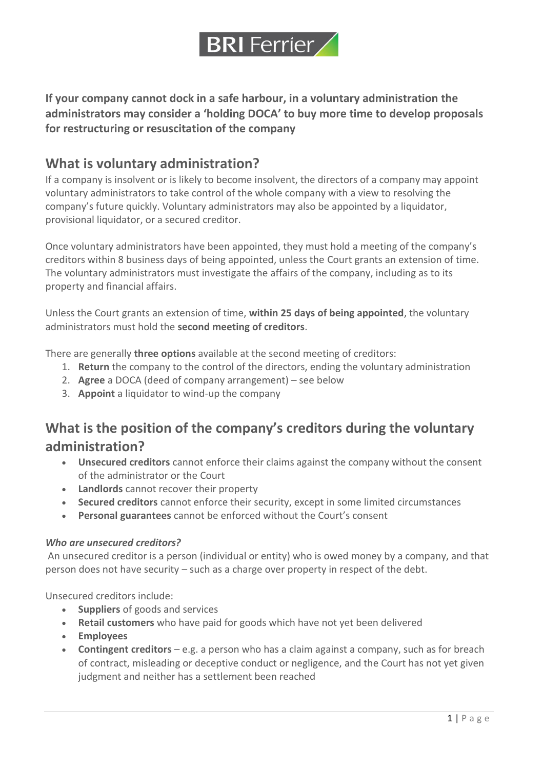

**If your company cannot dock in a safe harbour, in a voluntary administration the administrators may consider a 'holding DOCA' to buy more time to develop proposals for restructuring or resuscitation of the company**

### **What is voluntary administration?**

If a company is insolvent or is likely to become insolvent, the directors of a company may appoint voluntary administrators to take control of the whole company with a view to resolving the company's future quickly. Voluntary administrators may also be appointed by a liquidator, provisional liquidator, or a secured creditor.

Once voluntary administrators have been appointed, they must hold a meeting of the company's creditors within 8 business days of being appointed, unless the Court grants an extension of time. The voluntary administrators must investigate the affairs of the company, including as to its property and financial affairs.

Unless the Court grants an extension of time, **within 25 days of being appointed**, the voluntary administrators must hold the **second meeting of creditors**.

There are generally **three options** available at the second meeting of creditors:

- 1. **Return** the company to the control of the directors, ending the voluntary administration
- 2. **Agree** a DOCA (deed of company arrangement) see below
- 3. **Appoint** a liquidator to wind-up the company

## **What is the position of the company's creditors during the voluntary administration?**

- **Unsecured creditors** cannot enforce their claims against the company without the consent of the administrator or the Court
- **Landlords** cannot recover their property
- **Secured creditors** cannot enforce their security, except in some limited circumstances
- **Personal guarantees** cannot be enforced without the Court's consent

#### *Who are unsecured creditors?*

An unsecured creditor is a person (individual or entity) who is owed money by a company, and that person does not have security – such as a charge over property in respect of the debt.

Unsecured creditors include:

- **Suppliers** of goods and services
- **Retail customers** who have paid for goods which have not yet been delivered
- **Employees**
- **Contingent creditors** e.g. a person who has a claim against a company, such as for breach of contract, misleading or deceptive conduct or negligence, and the Court has not yet given judgment and neither has a settlement been reached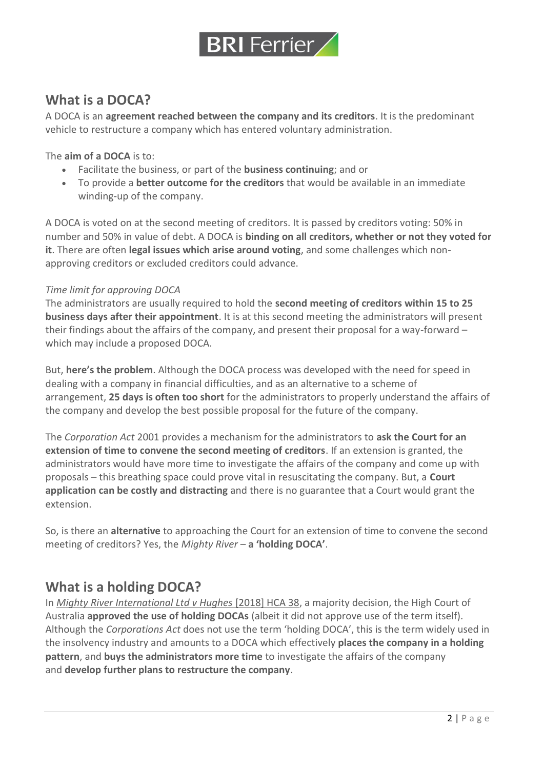

## **What is a DOCA?**

A DOCA is an **agreement reached between the company and its creditors**. It is the predominant vehicle to restructure a company which has entered voluntary administration.

The **aim of a DOCA** is to:

- Facilitate the business, or part of the **business continuing**; and or
- To provide a **better outcome for the creditors** that would be available in an immediate winding-up of the company.

A DOCA is voted on at the second meeting of creditors. It is passed by creditors voting: 50% in number and 50% in value of debt. A DOCA is **binding on all creditors, whether or not they voted for it**. There are often **legal issues which arise around voting**, and some challenges which nonapproving creditors or excluded creditors could advance.

#### *Time limit for approving DOCA*

The administrators are usually required to hold the **second meeting of creditors within 15 to 25 business days after their appointment**. It is at this second meeting the administrators will present their findings about the affairs of the company, and present their proposal for a way-forward – which may include a proposed DOCA.

But, **here's the problem**. Although the DOCA process was developed with the need for speed in dealing with a company in financial difficulties, and as an alternative to a scheme of arrangement, **25 days is often too short** for the administrators to properly understand the affairs of the company and develop the best possible proposal for the future of the company.

The *Corporation Act* 2001 provides a mechanism for the administrators to **ask the Court for an extension of time to convene the second meeting of creditors**. If an extension is granted, the administrators would have more time to investigate the affairs of the company and come up with proposals – this breathing space could prove vital in resuscitating the company. But, a **Court application can be costly and distracting** and there is no guarantee that a Court would grant the extension.

So, is there an **alternative** to approaching the Court for an extension of time to convene the second meeting of creditors? Yes, the *Mighty River* – **a 'holding DOCA'**.

## **What is a holding DOCA?**

In *[Mighty River International Ltd v Hughes](https://blackwattlelegal.us19.list-manage.com/track/click?u=6f4603be7a74165eac73fd271&id=03c1375fb8&e=69c7808c7c)* [2018] HCA 38, a majority decision, the High Court of Australia **approved the use of holding DOCAs** (albeit it did not approve use of the term itself). Although the *Corporations Act* does not use the term 'holding DOCA', this is the term widely used in the insolvency industry and amounts to a DOCA which effectively **places the company in a holding pattern**, and **buys the administrators more time** to investigate the affairs of the company and **develop further plans to restructure the company**.